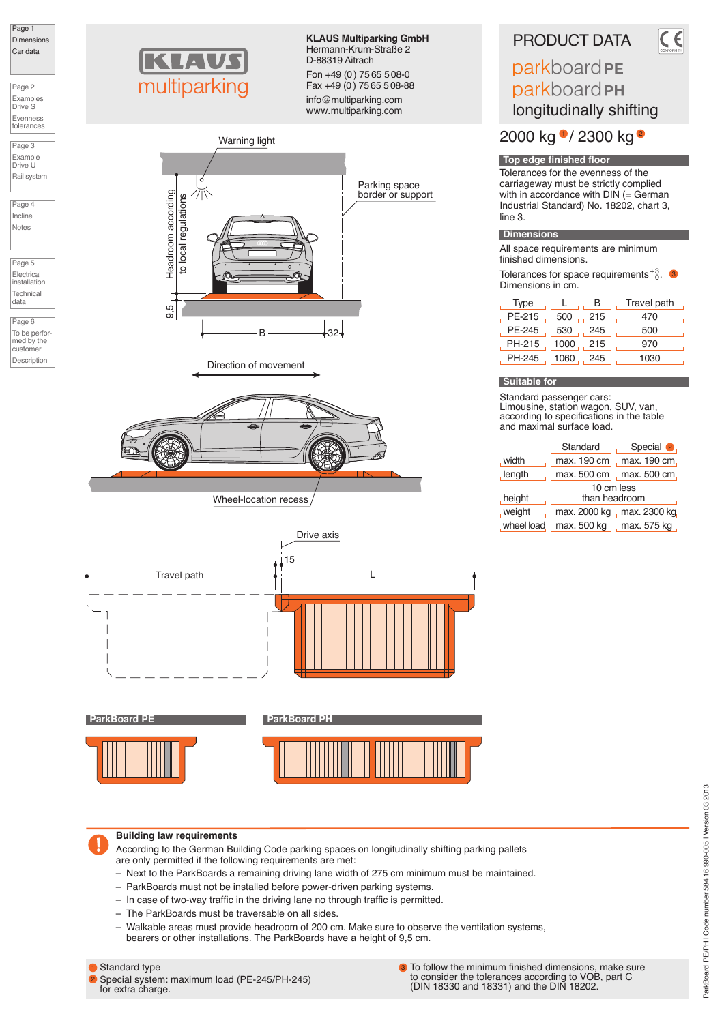Page 1 **Dimensions** Car data

Page 2 Examples Drive S Evenness tolerances

Page 3 Example Drive U Rail syste

Page 4 Incline Notes

Page 5 Electrical installation Technical data

Page 6 To be performed by the customer Description



**KLAUS Multiparking GmbH** Hermann-Krum-Straße 2 D-88319 Aitrach Fon +49 (0) 75 65 508-0 Fax +49 (0) 75 65 5 08-88

info@multiparking.com www.multiparking.com







**ParkBoard PE ParkBoard PH** 





## **Building law requirements**

According to the German Building Code parking spaces on longitudinally shifting parking pallets are only permitted if the following requirements are met:

- Next to the ParkBoards a remaining driving lane width of 275 cm minimum must be maintained.
- ParkBoards must not be installed before power-driven parking systems.
- In case of two-way traffic in the driving lane no through traffic is permitted.
- The ParkBoards must be traversable on all sides.
- Walkable areas must provide headroom of 200 cm. Make sure to observe the ventilation systems, bearers or other installations. The ParkBoards have a height of 9,5 cm.

## **1** Standard type

2 Special system: maximum load (PE-245/PH-245) for extra charge.

To follow the minimum finished dimensions, make sure to consider the tolerances according to VOB, part C (DIN 18330 and 18331) and the DIN 18202. 3

# PRODUCT DATA

## parkboard PE parkboard PH longitudinally shifting

2000 kg <sup>0</sup> / 2300 kg <sup>e</sup>

## **Top edge finished floor**

Tolerances for the evenness of the carriageway must be strictly complied with in accordance with  $DIN \subseteq$  German Industrial Standard) No. 18202, chart 3, line 3.

## **Dimensions**

All space requirements are minimum finished dimensions.

Tolerances for space requirements  $^{+3}_{0}$ . Dimensions in cm.

| Type         |        | в   | Travel path |
|--------------|--------|-----|-------------|
| PE-215       | 500    | 215 | 470         |
| PE-245       | 530    | 245 | 500         |
| PH-215, 1000 |        | 215 | 970         |
| PH-245       | , 1060 | 245 | 1030        |

## **Suitable for**

Standard passenger cars: Limousine, station wagon, SUV, van, according to specifications in the table and maximal surface load.

|               |                           | Standard Special 2.        |  |  |  |  |  |
|---------------|---------------------------|----------------------------|--|--|--|--|--|
| , width       |                           | max. 190 cm, max. 190 cm,  |  |  |  |  |  |
| length        |                           | max. 500 cm, max. 500 cm,  |  |  |  |  |  |
|               | 10 cm less                |                            |  |  |  |  |  |
| height        | than headroom             |                            |  |  |  |  |  |
| weight        |                           | max. 2000 kg, max. 2300 kg |  |  |  |  |  |
| , wheel load, | max. 500 kg , max. 575 kg |                            |  |  |  |  |  |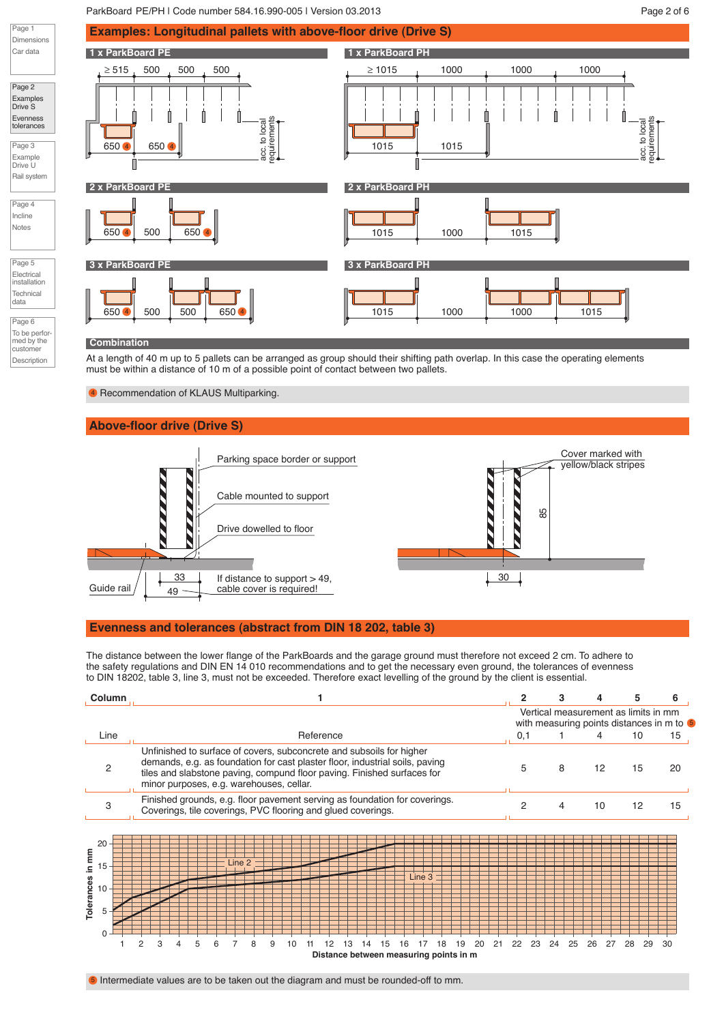## ParkBoard PE/PH | Code number 584.16.990-005 | Version 03.2013 | New York Page 2 of 6



#### **Combination**

Page 1

Car data

Page 2 Examples Drive S Evenness tolerances Page 3 Example Drive U

Page 4 Incline Notes

Page 5 Electrical installation **Technical** data Page 6

customer Description

At a length of 40 m up to 5 pallets can be arranged as group should their shifting path overlap. In this case the operating elements must be within a distance of 10 m of a possible point of contact between two pallets.

<sup>4</sup> Recommendation of KLAUS Multiparking.

## **Above-floor drive (Drive S)**



## **Evenness and tolerances (abstract from DIN 18 202, table 3)**

The distance between the lower flange of the ParkBoards and the garage ground must therefore not exceed 2 cm. To adhere to the safety regulations and DIN EN 14 010 recommendations and to get the necessary even ground, the tolerances of evenness to DIN 18202, table 3, line 3, must not be exceeded. Therefore exact levelling of the ground by the client is essential.

| Column                                       |                                                                                                                                                                                                                                                                             | 2        | з                                                                                 |                   | 5        | 6  |
|----------------------------------------------|-----------------------------------------------------------------------------------------------------------------------------------------------------------------------------------------------------------------------------------------------------------------------------|----------|-----------------------------------------------------------------------------------|-------------------|----------|----|
|                                              |                                                                                                                                                                                                                                                                             |          | Vertical measurement as limits in mm<br>with measuring points distances in m to 5 |                   |          |    |
| Line                                         | Reference                                                                                                                                                                                                                                                                   | 0,1      |                                                                                   | 4                 | 10       | 15 |
| 2                                            | Unfinished to surface of covers, subconcrete and subsoils for higher<br>demands, e.g. as foundation for cast plaster floor, industrial soils, paving<br>tiles and slabstone paving, compund floor paving. Finished surfaces for<br>minor purposes, e.g. warehouses, cellar. | 5        | 8                                                                                 | $12 \overline{ }$ | 15       | 20 |
| 3                                            | Finished grounds, e.g. floor pavement serving as foundation for coverings.<br>Coverings, tile coverings, PVC flooring and glued coverings.                                                                                                                                  | 2        | 4                                                                                 | 10                | 12       | 15 |
| 20<br>Tolerances in mm<br>15<br>10<br>5<br>0 | Line 2<br>Line 3<br>2<br>5<br>9<br>21<br>20<br>19<br>18<br>Distance between measuring points in m                                                                                                                                                                           | 22<br>23 | 24<br>25                                                                          | 26<br>27          | 29<br>28 | 30 |

**6** Intermediate values are to be taken out the diagram and must be rounded-off to mm.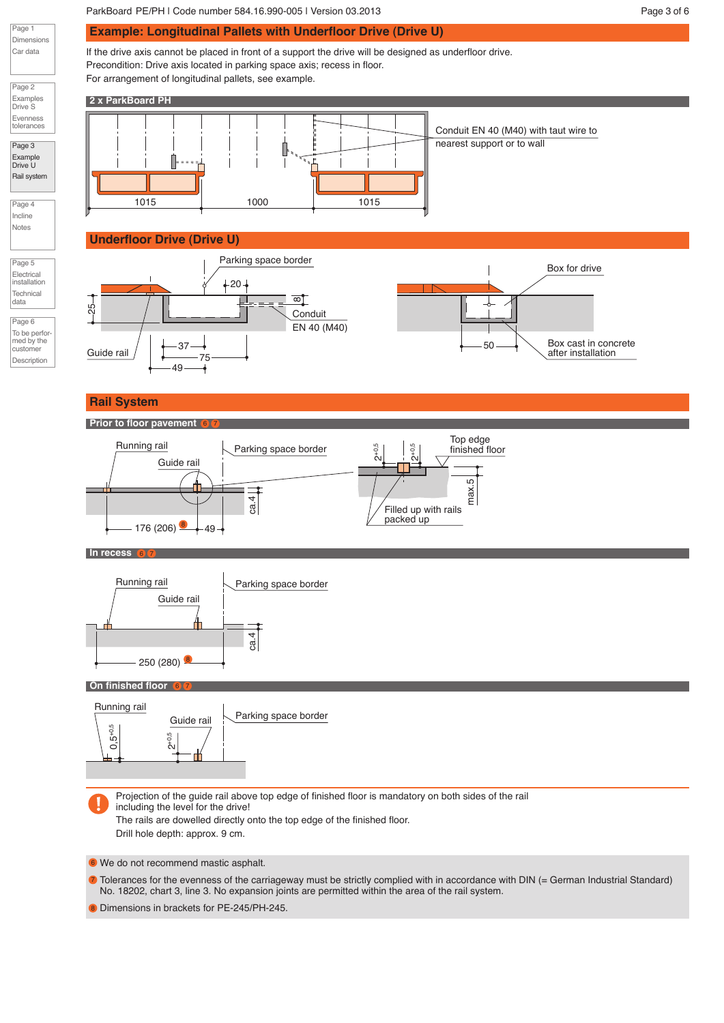## ParkBoard PE/PH | Code number 584.16.990-005 | Version 03.2013 | New York Page 3 of 6

**Example: Longitudinal Pallets with Underfloor Drive (Drive U)**

If the drive axis cannot be placed in front of a support the drive will be designed as underfloor drive. Precondition: Drive axis located in parking space axis; recess in floor. For arrangement of longitudinal pallets, see example.

**2 x ParkBoard PH** 1015 1000 1015 Conduit EN 40 (M40) with taut wire to nearest support or to wall

## **Underfloor Drive (Drive U)**



## **Rail System**

Page 1 Dimensions Car data

Page 2 Examples Drive S Evenness tolerances Page 3 Example Drive U Rail system

Page 4 Incline Notes

Page 5 Electrical installation **Technical** data Page 6 To be perfor med by the customer Description

## **Prior to floor pavement**



## **In recess** 6 7



 $6$   $\sqrt{7}$ 

#### **On finished floor**  $6$   $\sqrt{7}$

Т



Projection of the guide rail above top edge of finished floor is mandatory on both sides of the rail including the level for the drive! The rails are dowelled directly onto the top edge of the finished floor.

Drill hole depth: approx. 9 cm.

We do not recommend mastic asphalt. 6

 $\bar{\nu}$  Tolerances for the evenness of the carriageway must be strictly complied with in accordance with DIN (= German Industrial Standard) No. 18202, chart 3, line 3. No expansion joints are permitted within the area of the rail system.

8 Dimensions in brackets for PE-245/PH-245.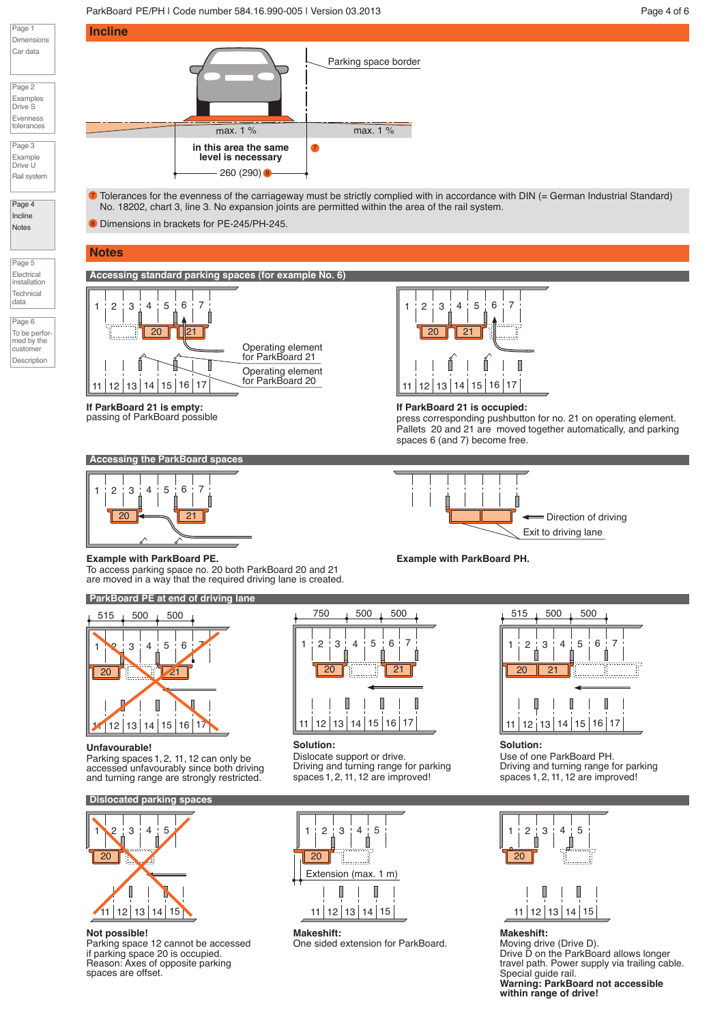## ParkBoard PE/PH | Code number 584.16.990-005 | Version 03.2013 | New York Page 4 of 6



Page 2 Examples Drive S Evenness tolerances

Page 3 Example Drive U Rail syste

Page 4 Incline **Notes** 

Page 5 Electrical installation Technical data

Page 6 To be performed by the customer Description



 $\bar{\nu}$  Tolerances for the evenness of the carriageway must be strictly complied with in accordance with DIN (= German Industrial Standard) No. 18202, chart 3, line 3. No expansion joints are permitted within the area of the rail system.

8 Dimensions in brackets for PE-245/PH-245.

## **Notes**

**Accessing standard parking spaces (for example No. 6)**



**If ParkBoard 21 is empty:** passing of ParkBoard possible







**If ParkBoard 21 is occupied:**

**Example with ParkBoard PH.**

press corresponding pushbutton for no. 21 on operating element. Pallets 20 and 21 are moved together automatically, and parking spaces 6 (and 7) become free.



## **Example with ParkBoard PE.**

To access parking space no. 20 both ParkBoard 20 and 21 are moved in a way that the required driving lane is created.

**ParkBoard PE at end of driving lane**



## **Unfavourable!**

Parking spaces 1,2, 11,12 can only be accessed unfavourably since both driving and turning range are strongly restricted.

## **Dislocated parking space**



## **Not possible!**

Parking space 12 cannot be accessed if parking space 20 is occupied. Reason: Axes of opposite parking spaces are offset.



## **Solution:**

Dislocate support or drive. Driving and turning range for parking spaces 1,2,11, 12 are improved!



**Makeshift:** One sided extension for ParkBoard.



**Solution:** Use of one ParkBoard PH. Driving and turning range for parking spaces 1,2,11, 12 are improved!



# 11 12 13 14 15 **Makeshift:**

Moving drive (Drive D). Drive D on the ParkBoard allows longer travel path. Power supply via trailing cable. Special guide rail. **Warning: ParkBoard not accessible within range of drive!**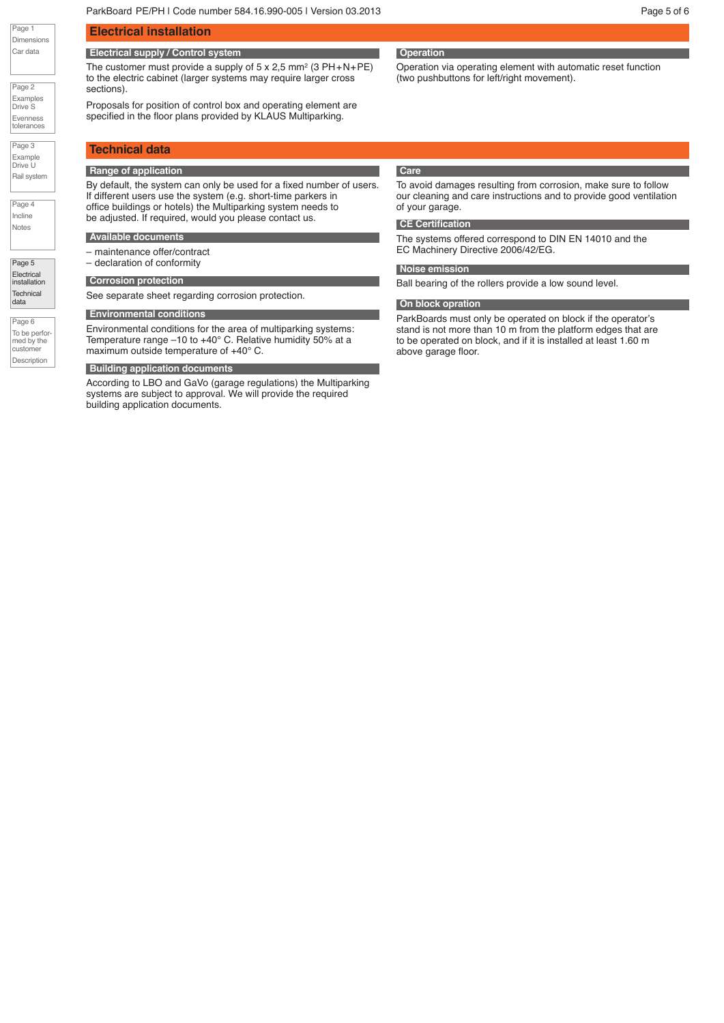Page 1 Dimensions Car data

Page 2 Examples Drive S Evenness tolerances

Page 3 Example Drive U Rail system

Page 4 Incline Notes

Page 5 **Electrical** installation **Technical** data

Page 6 To be performed by the customer Description

## **Electrical installation**

## **Electrical supply / Control system**

The customer must provide a supply of  $5 \times 2.5$  mm<sup>2</sup> (3 PH+N+PE) to the electric cabinet (larger systems may require larger cross sections).

Proposals for position of control box and operating element are specified in the floor plans provided by KLAUS Multiparking.

## **Technical data**

### **Range of application**

By default, the system can only be used for a fixed number of users. If different users use the system (e.g. short-time parkers in office buildings or hotels) the Multiparking system needs to be adjusted. If required, would you please contact us.

#### **Available documents**

– maintenance offer/contract – declaration of conformity

See separate sheet regarding corrosion protection.

## **Environmental conditions**

Environmental conditions for the area of multiparking systems: Temperature range –10 to +40° C. Relative humidity 50% at a maximum outside temperature of +40° C.

#### **Building application documents**

According to LBO and GaVo (garage regulations) the Multiparking systems are subject to approval. We will provide the required building application documents.

## **Operation**

Operation via operating element with automatic reset function (two pushbuttons for left/right movement).

## **Care**

To avoid damages resulting from corrosion, make sure to follow our cleaning and care instructions and to provide good ventilation of your garage.

#### **CE Certification**

The systems offered correspond to DIN EN 14010 and the EC Machinery Directive 2006/42/EG.

#### **Palettenkonstruktion Noise emission**

**Corrosion protection Corrosion protection by Corrosion Protection** Ball bearing of the rollers provide a low sound level.

#### **On block opration**

ParkBoards must only be operated on block if the operator's stand is not more than 10 m from the platform edges that are to be operated on block, and if it is installed at least 1.60 m above garage floor.